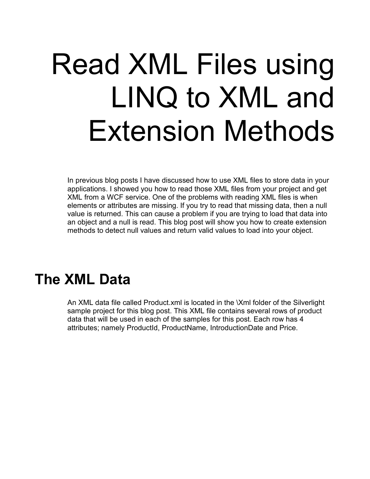# Read XML Files using LINQ to XML and Extension Methods

In previous blog posts I have discussed how to use XML files to store data in your applications. I showed you how to read those XML files from your project and get XML from a WCF service. One of the problems with reading XML files is when elements or attributes are missing. If you try to read that missing data, then a null value is returned. This can cause a problem if you are trying to load that data into an object and a null is read. This blog post will show you how to create extension methods to detect null values and return valid values to load into your object.

## **The XML Data**

An XML data file called Product.xml is located in the \Xml folder of the Silverlight sample project for this blog post. This XML file contains several rows of product data that will be used in each of the samples for this post. Each row has 4 attributes; namely ProductId, ProductName, IntroductionDate and Price.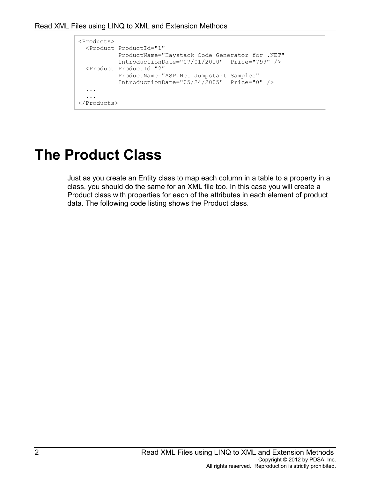```
<Products>
  <Product ProductId="1"
            ProductName="Haystack Code Generator for .NET"
            IntroductionDate="07/01/2010" Price="799" />
  <Product ProductId="2"
            ProductName="ASP.Net Jumpstart Samples"
            IntroductionDate="05/24/2005" Price="0" />
   ...
   ...
</Products>
```
## **The Product Class**

Just as you create an Entity class to map each column in a table to a property in a class, you should do the same for an XML file too. In this case you will create a Product class with properties for each of the attributes in each element of product data. The following code listing shows the Product class.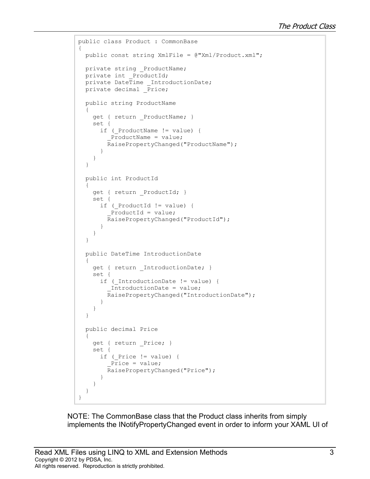```
public class Product : CommonBase
{
   public const string XmlFile = @"Xml/Product.xml";
   private string _ProductName;
  private int ProductId;
  private DateTime IntroductionDate;
   private decimal _Price;
   public string ProductName
   {
    get { return ProductName; }
     set {
      if ( ProductName != value) {
         ProductName = value;
         RaisePropertyChanged("ProductName");
 }
     }
   }
   public int ProductId
   {
     get { return _ProductId; }
     set {
      if ( ProductId != value) {
          _ProductId = value;
         RaisePropertyChanged("ProductId");
 }
     }
   }
   public DateTime IntroductionDate
   {
    get { return IntroductionDate; }
     set {
      if ( IntroductionDate != value) {
          _IntroductionDate = value;
         RaisePropertyChanged("IntroductionDate");
       }
     }
   }
   public decimal Price
   {
     get { return _Price; }
     set {
      if ( Price != value) {
         Price = value;
         RaisePropertyChanged("Price");
       }
     }
   }
}
```
NOTE: The CommonBase class that the Product class inherits from simply implements the INotifyPropertyChanged event in order to inform your XAML UI of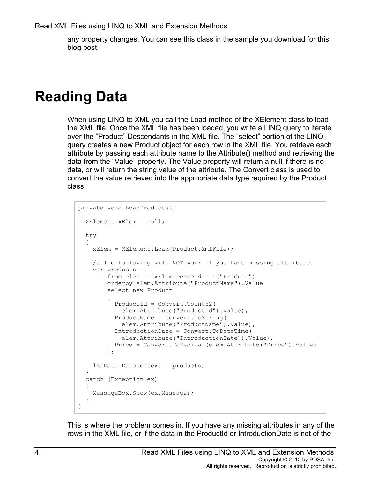any property changes. You can see this class in the sample you download for this blog post.

#### **Reading Data**

When using LINQ to XML you call the Load method of the XElement class to load the XML file. Once the XML file has been loaded, you write a LINQ query to iterate over the "Product" Descendants in the XML file. The "select" portion of the LINQ query creates a new Product object for each row in the XML file. You retrieve each attribute by passing each attribute name to the Attribute() method and retrieving the data from the "Value" property. The Value property will return a null if there is no data, or will return the string value of the attribute. The Convert class is used to convert the value retrieved into the appropriate data type required by the Product class.

```
private void LoadProducts()
{
  XElement xElem = null;
   try
   {
     xElem = XElement.Load(Product.XmlFile);
     // The following will NOT work if you have missing attributes
     var products = 
         from elem in xElem.Descendants("Product")
         orderby elem.Attribute("ProductName").Value
         select new Product
\{ ProductId = Convert.ToInt32(
            elem.Attribute("ProductId").Value),
           ProductName = Convert.ToString(
            elem.Attribute("ProductName").Value),
           IntroductionDate = Convert.ToDateTime(
             elem.Attribute("IntroductionDate").Value),
           Price = Convert.ToDecimal(elem.Attribute("Price").Value)
         };
     lstData.DataContext = products;
   }
   catch (Exception ex)
   {
     MessageBox.Show(ex.Message);
   }
}
```
This is where the problem comes in. If you have any missing attributes in any of the rows in the XML file, or if the data in the ProductId or IntroductionDate is not of the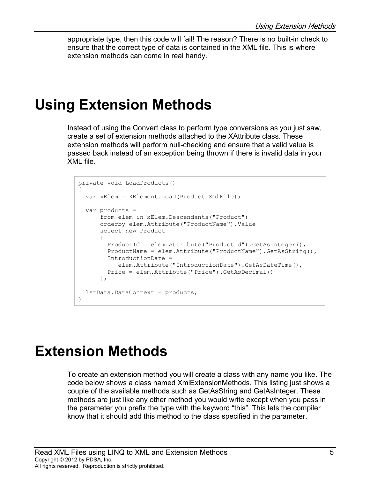appropriate type, then this code will fail! The reason? There is no built-in check to ensure that the correct type of data is contained in the XML file. This is where extension methods can come in real handy.

#### **Using Extension Methods**

Instead of using the Convert class to perform type conversions as you just saw, create a set of extension methods attached to the XAttribute class. These extension methods will perform null-checking and ensure that a valid value is passed back instead of an exception being thrown if there is invalid data in your XML file.

```
private void LoadProducts()
{
   var xElem = XElement.Load(Product.XmlFile);
  var products = 
       from elem in xElem.Descendants("Product")
       orderby elem.Attribute("ProductName").Value
       select new Product
 {
         ProductId = elem.Attribute("ProductId").GetAsInteger(),
         ProductName = elem.Attribute("ProductName").GetAsString(),
         IntroductionDate = 
            elem.Attribute("IntroductionDate").GetAsDateTime(),
         Price = elem.Attribute("Price").GetAsDecimal()
       };
  lstData.DataContext = products;
}
```
### **Extension Methods**

To create an extension method you will create a class with any name you like. The code below shows a class named XmlExtensionMethods. This listing just shows a couple of the available methods such as GetAsString and GetAsInteger. These methods are just like any other method you would write except when you pass in the parameter you prefix the type with the keyword "this". This lets the compiler know that it should add this method to the class specified in the parameter.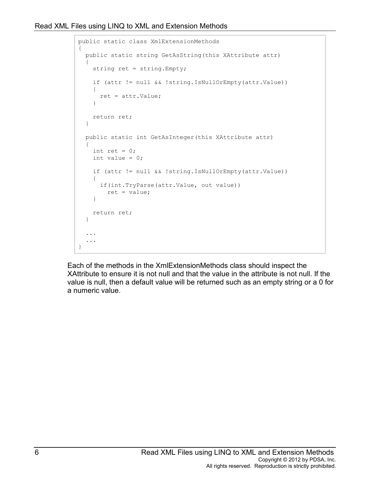```
public static class XmlExtensionMethods
{
   public static string GetAsString(this XAttribute attr)
   {
     string ret = string.Empty;
     if (attr != null && !string.IsNullOrEmpty(attr.Value))
     {
       ret = attr.Value;
     }
     return ret;
   }
   public static int GetAsInteger(this XAttribute attr)
   {
    int ret = 0;
    int value = 0; if (attr != null && !string.IsNullOrEmpty(attr.Value))
     {
       if(int.TryParse(attr.Value, out value))
         ret = value;
     }
     return ret;
   }
   ...
   ...
}
```
Each of the methods in the XmlExtensionMethods class should inspect the XAttribute to ensure it is not null and that the value in the attribute is not null. If the value is null, then a default value will be returned such as an empty string or a 0 for a numeric value.